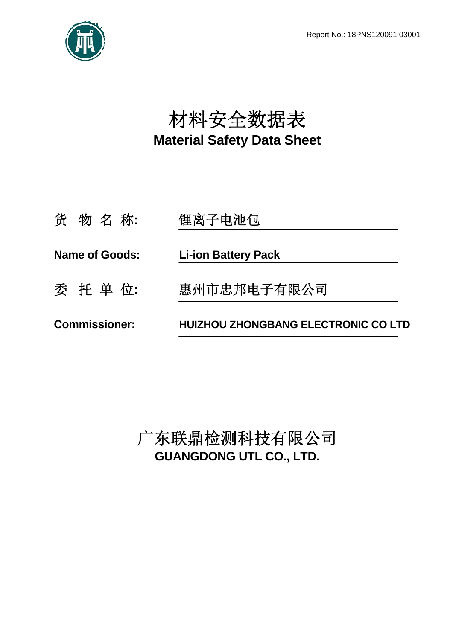

# 材料安全数据表 **Material Safety Data Sheet**

| 货物名称:                 | 锂离子电池包                                     |  |
|-----------------------|--------------------------------------------|--|
| <b>Name of Goods:</b> | <b>Li-ion Battery Pack</b>                 |  |
| 委 托 单 位:              | 惠州市忠邦电子有限公司                                |  |
| <b>Commissioner:</b>  | <b>HUIZHOU ZHONGBANG ELECTRONIC CO LTD</b> |  |

广东联鼎检测科技有限公司 **GUANGDONG UTL CO., LTD.**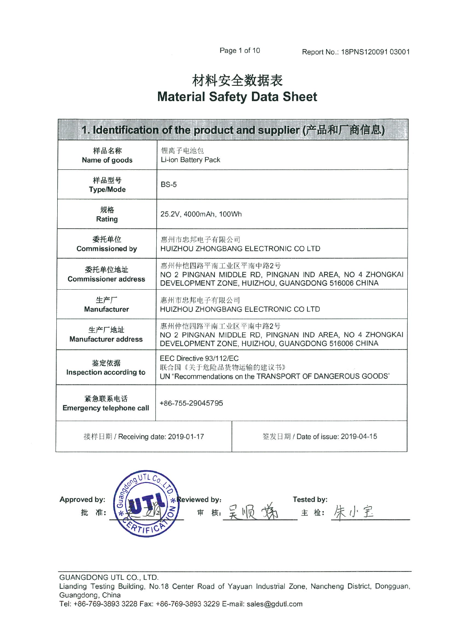# 材料安全数据表 **Material Safety Data Sheet**

| 1. Identification of the product and supplier (产品和厂商信息) |                                                                                                                                   |                                  |  |  |
|---------------------------------------------------------|-----------------------------------------------------------------------------------------------------------------------------------|----------------------------------|--|--|
| 样品名称<br>Name of goods                                   | 锂离子电池包<br>Li-ion Battery Pack                                                                                                     |                                  |  |  |
| 样品型号<br><b>Type/Mode</b>                                | <b>BS-5</b>                                                                                                                       |                                  |  |  |
| 规格<br>Rating                                            | 25.2V, 4000mAh, 100Wh                                                                                                             |                                  |  |  |
| 委托单位<br><b>Commissioned by</b>                          | 惠州市忠邦电子有限公司<br>HUIZHOU ZHONGBANG ELECTRONIC CO LTD                                                                                |                                  |  |  |
| 委托单位地址<br><b>Commissioner address</b>                   | 惠州仲恺四路平南工业区平南中路2号<br>NO 2 PINGNAN MIDDLE RD, PINGNAN IND AREA, NO 4 ZHONGKAI<br>DEVELOPMENT ZONE, HUIZHOU, GUANGDONG 516006 CHINA |                                  |  |  |
| 生产厂<br>Manufacturer                                     | 惠州市忠邦电子有限公司<br>HUIZHOU ZHONGBANG ELECTRONIC CO LTD                                                                                |                                  |  |  |
| 生产厂地址<br><b>Manufacturer address</b>                    | 惠州仲恺四路平南工业区平南中路2号<br>NO 2 PINGNAN MIDDLE RD, PINGNAN IND AREA, NO 4 ZHONGKAI<br>DEVELOPMENT ZONE, HUIZHOU, GUANGDONG 516006 CHINA |                                  |  |  |
| 鉴定依据<br>Inspection according to                         | EEC Directive 93/112/EC<br>联合国《关于危险品货物运输的建议书》<br>UN "Recommendations on the TRANSPORT OF DANGEROUS GOODS"                         |                                  |  |  |
| 紧急联系电话<br><b>Emergency telephone call</b>               | +86-755-29045795                                                                                                                  |                                  |  |  |
| 接样日期 / Receiving date: 2019-01-17                       |                                                                                                                                   | 签发日期 / Date of issue: 2019-04-15 |  |  |

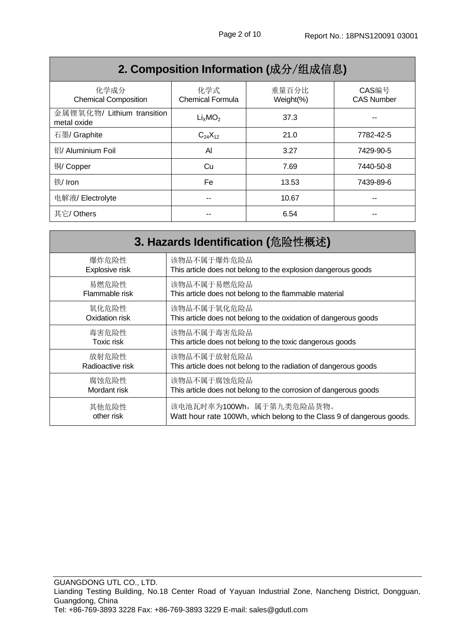| Z. OOIIIpOSItiOH IHIOHIIIatiOH (灰刀 / 纪灰旧心儿 |                                 |                    |                            |  |
|--------------------------------------------|---------------------------------|--------------------|----------------------------|--|
| 化学成分<br><b>Chemical Composition</b>        | 化学式<br><b>Chemical Formula</b>  | 重量百分比<br>Weight(%) | CAS编号<br><b>CAS Number</b> |  |
| 金属锂氧化物/ Lithium transition<br>metal oxide  | Li <sub>x</sub> MO <sub>2</sub> | 37.3               |                            |  |
| 石墨/ Graphite                               | $C_{24}X_{12}$                  | 21.0               | 7782-42-5                  |  |
| 铝/ Aluminium Foil                          | Al                              | 3.27               | 7429-90-5                  |  |
| 铜/ Copper                                  | Cu                              | 7.69               | 7440-50-8                  |  |
| 铁/ Iron                                    | Fe                              | 13.53              | 7439-89-6                  |  |
| 电解液/Electrolyte                            | --                              | 10.67              | --                         |  |
| 其它/ Others                                 |                                 | 6.54               |                            |  |

# **2. Composition Information (**成分/组成信息**)**

| 3. Hazards Identification (危险性概述) |                                                                       |  |
|-----------------------------------|-----------------------------------------------------------------------|--|
| 爆炸危险性                             | 该物品不属于爆炸危险品                                                           |  |
| Explosive risk                    | This article does not belong to the explosion dangerous goods         |  |
| 易燃危险性                             | 该物品不属于易燃危险品                                                           |  |
| Flammable risk                    | This article does not belong to the flammable material                |  |
| 氧化危险性                             | 该物品不属于氧化危险品                                                           |  |
| Oxidation risk                    | This article does not belong to the oxidation of dangerous goods      |  |
| 毒害危险性                             | 该物品不属于毒害危险品                                                           |  |
| <b>Toxic risk</b>                 | This article does not belong to the toxic dangerous goods             |  |
| 放射危险性                             | 该物品不属于放射危险品                                                           |  |
| Radioactive risk                  | This article does not belong to the radiation of dangerous goods      |  |
| 腐蚀危险性                             | 该物品不属于腐蚀危险品                                                           |  |
| Mordant risk                      | This article does not belong to the corrosion of dangerous goods      |  |
| 其他危险性                             | 该电池瓦时率为100Wh, 属于第九类危险品货物。                                             |  |
| other risk                        | Watt hour rate 100Wh, which belong to the Class 9 of dangerous goods. |  |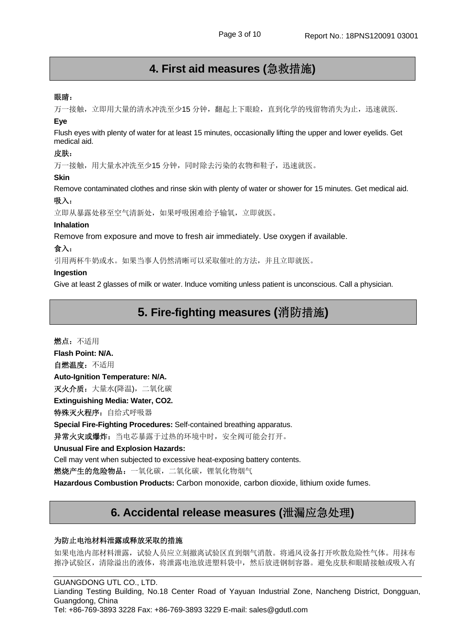## **4. First aid measures (**急救措施**)**

#### 眼睛:

万一接触,立即用大量的清水冲洗至少15 分钟,翻起上下眼睑,直到化学的残留物消失为止,迅速就医.

#### **Eye**

Flush eyes with plenty of water for at least 15 minutes, occasionally lifting the upper and lower eyelids. Get medical aid.

#### 皮肤:

万一接触,用大量水冲洗至少15 分钟,同时除去污染的衣物和鞋子,迅速就医。

#### **Skin**

Remove contaminated clothes and rinse skin with plenty of water or shower for 15 minutes. Get medical aid.

### 吸入:

立即从暴露处移至空气清新处,如果呼吸困难给予输氧,立即就医。

#### **Inhalation**

Remove from exposure and move to fresh air immediately. Use oxygen if available.

#### 食入:

引用两杯牛奶或水。如果当事人仍然清晰可以采取催吐的方法,并且立即就医。

#### **Ingestion**

Give at least 2 glasses of milk or water. Induce vomiting unless patient is unconscious. Call a physician.

### **5. Fire-fighting measures (**消防措施**)**

燃点:不适用 **Flash Point: N/A.**  自燃温度:不适用 **Auto-Ignition Temperature: N/A.**  灭火介质: 大量水(降温), 二氧化碳 **Extinguishing Media: Water, CO2.**  特殊灭火程序: 自给式呼吸器 **Special Fire-Fighting Procedures:** Self-contained breathing apparatus. 异常火灾或爆炸:当电芯暴露于过热的环境中时,安全阀可能会打开。 **Unusual Fire and Explosion Hazards:** 

Cell may vent when subjected to excessive heat-exposing battery contents.

燃烧产生的危险物品:一氧化碳,二氧化碳,锂氧化物烟气

**Hazardous Combustion Products:** Carbon monoxide, carbon dioxide, lithium oxide fumes.

### **6. Accidental release measures (**泄漏应急处理**)**

#### 为防止电池材料泄露或释放采取的措施

如果电池内部材料泄露,试验人员应立刻撤离试验区直到烟气消散。将通风设备打开吹散危险性气体。用抹布 擦净试验区,清除溢出的液体,将泄露电池放进塑料袋中,然后放进钢制容器。避免皮肤和眼睛接触或吸入有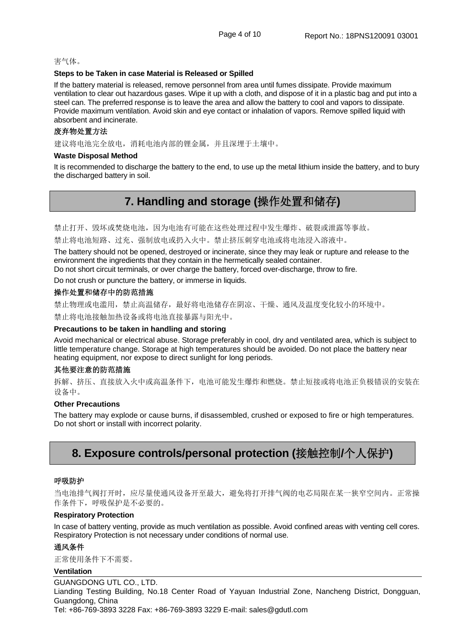#### 害气体。

#### **Steps to be Taken in case Material is Released or Spilled**

If the battery material is released, remove personnel from area until fumes dissipate. Provide maximum ventilation to clear out hazardous gases. Wipe it up with a cloth, and dispose of it in a plastic bag and put into a steel can. The preferred response is to leave the area and allow the battery to cool and vapors to dissipate. Provide maximum ventilation. Avoid skin and eye contact or inhalation of vapors. Remove spilled liquid with absorbent and incinerate.

#### 废弃物处置方法

建议将电池完全放电,消耗电池内部的锂金属,并且深埋于土壤中。

#### **Waste Disposal Method**

It is recommended to discharge the battery to the end, to use up the metal lithium inside the battery, and to bury the discharged battery in soil.

### **7. Handling and storage (**操作处置和储存**)**

禁止打开、毁坏或焚烧电池,因为电池有可能在这些处理过程中发生爆炸、破裂或泄露等事故。

禁止将电池短路、过充、强制放电或扔入火中。禁止挤压刺穿电池或将电池浸入溶液中。

The battery should not be opened, destroyed or incinerate, since they may leak or rupture and release to the environment the ingredients that they contain in the hermetically sealed container.

Do not short circuit terminals, or over charge the battery, forced over-discharge, throw to fire.

Do not crush or puncture the battery, or immerse in liquids.

#### 操作处置和储存中的防范措施

禁止物理或电滥用,禁止高温储存,最好将电池储存在阴凉、干燥、通风及温度变化较小的环境中。

禁止将电池接触加热设备或将电池直接暴露与阳光中。

#### **Precautions to be taken in handling and storing**

Avoid mechanical or electrical abuse. Storage preferably in cool, dry and ventilated area, which is subject to little temperature change. Storage at high temperatures should be avoided. Do not place the battery near heating equipment, nor expose to direct sunlight for long periods.

#### 其他要注意的防范措施

拆解、挤压、直接放入火中或高温条件下,电池可能发生爆炸和燃烧。禁止短接或将电池正负极错误的安装在 设备中。

#### **Other Precautions**

The battery may explode or cause burns, if disassembled, crushed or exposed to fire or high temperatures. Do not short or install with incorrect polarity.

### **8. Exposure controls/personal protection (**接触控制**/**个人保护**)**

#### 呼吸防护

当电池排气阀打开时,应尽量使通风设备开至最大,避免将打开排气阀的电芯局限在某一狭窄空间内。正常操 作条件下,呼吸保护是不必要的。

#### **Respiratory Protection**

In case of battery venting, provide as much ventilation as possible. Avoid confined areas with venting cell cores. Respiratory Protection is not necessary under conditions of normal use.

#### 通风条件

正常使用条件下不需要。

#### **Ventilation**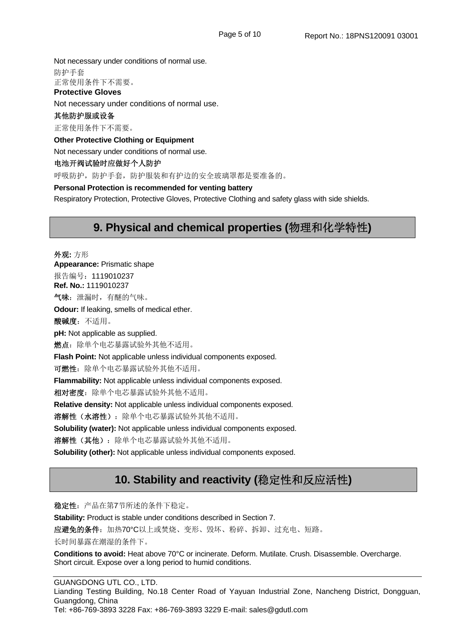Not necessary under conditions of normal use. 防护手套 正常使用条件下不需要。 **Protective Gloves**  Not necessary under conditions of normal use. 其他防护服或设备 正常使用条件下不需要。 **Other Protective Clothing or Equipment**  Not necessary under conditions of normal use. 电池开阀试验时应做好个人防护 呼吸防护,防护手套,防护服装和有护边的安全玻璃罩都是要准备的。 **Personal Protection is recommended for venting battery** 

Respiratory Protection, Protective Gloves, Protective Clothing and safety glass with side shields.

### **9. Physical and chemical properties (**物理和化学特性**)**

外观**:** 方形 **Appearance:** Prismatic shape 报告编号:1119010237 **Ref. No.:** 1119010237 气味:泄漏时,有醚的气味。 **Odour:** If leaking, smells of medical ether. 酸碱度:不适用。 **pH:** Not applicable as supplied. 燃点: 除单个电芯暴露试验外其他不适用。 **Flash Point:** Not applicable unless individual components exposed. 可燃性:除单个电芯暴露试验外其他不适用。 **Flammability:** Not applicable unless individual components exposed. 相对密度:除单个电芯暴露试验外其他不适用。 **Relative density:** Not applicable unless individual components exposed. 溶解性(水溶性):除单个电芯暴露试验外其他不适用。 **Solubility (water):** Not applicable unless individual components exposed.

**溶解性(其他):**除单个电芯暴露试验外其他不适用。

**Solubility (other):** Not applicable unless individual components exposed.

## **10. Stability and reactivity (**稳定性和反应活性**)**

稳定性:产品在第7节所述的条件下稳定。

**Stability:** Product is stable under conditions described in Section 7.

应避免的条件: 加热70°C以上或焚烧、变形、毁坏、粉碎、拆卸、过充电、短路。

长时间暴露在潮湿的条件下。

**Conditions to avoid:** Heat above 70°C or incinerate. Deform. Mutilate. Crush. Disassemble. Overcharge. Short circuit. Expose over a long period to humid conditions.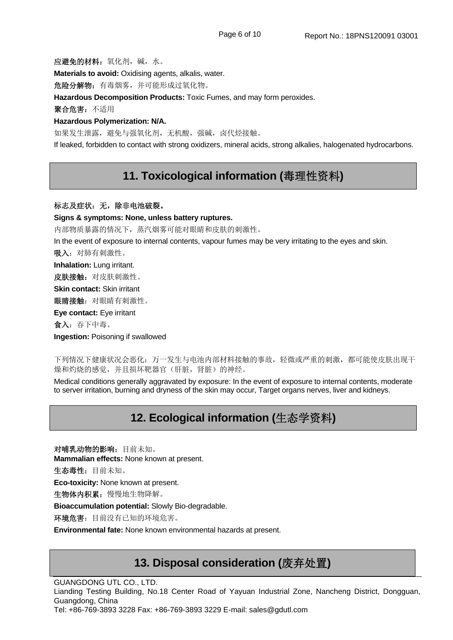应避免的材料:氧化剂,碱,水。

**Materials to avoid:** Oxidising agents, alkalis, water.

危险分解物:有毒烟雾,并可能形成过氧化物。

**Hazardous Decomposition Products:** Toxic Fumes, and may form peroxides.

聚合危害:不适用

#### **Hazardous Polymerization: N/A.**

如果发生泄露,避免与强氧化剂,无机酸,强碱,卤代烃接触。

If leaked, forbidden to contact with strong oxidizers, mineral acids, strong alkalies, halogenated hydrocarbons.

### **11. Toxicological information (**毒理性资料**)**

#### 标志及症状: 无, 除非电池破裂。

**Signs & symptoms: None, unless battery ruptures.** 

内部物质暴露的情况下,蒸汽烟雾可能对眼睛和皮肤的刺激性。

In the event of exposure to internal contents, vapour fumes may be very irritating to the eyes and skin.

吸入:对肺有刺激性。

**Inhalation:** Lung irritant.

皮肤接触: 对皮肤刺激性。

**Skin contact:** Skin irritant

眼睛接触: 对眼睛有刺激性。

**Eye contact:** Eye irritant

食入:吞下中毒。

**Ingestion:** Poisoning if swallowed

下列情况下健康状况会恶化:万一发生与电池内部材料接触的事故,轻微或严重的刺激,都可能使皮肤出现干 燥和灼烧的感觉,并且损坏靶器官(肝脏,肾脏)的神经。

Medical conditions generally aggravated by exposure: In the event of exposure to internal contents, moderate to server irritation, burning and dryness of the skin may occur, Target organs nerves, liver and kidneys.

## **12. Ecological information (**生态学资料**)**

对哺乳动物的影响:目前未知。 **Mammalian effects:** None known at present.

生态毒性:目前未知。

**Eco-toxicity:** None known at present.

生物体内积累:慢慢地生物降解。

**Bioaccumulation potential:** Slowly Bio-degradable.

环境危害:目前没有已知的环境危害。

**Environmental fate:** None known environmental hazards at present.

### **13. Disposal consideration (**废弃处置**)**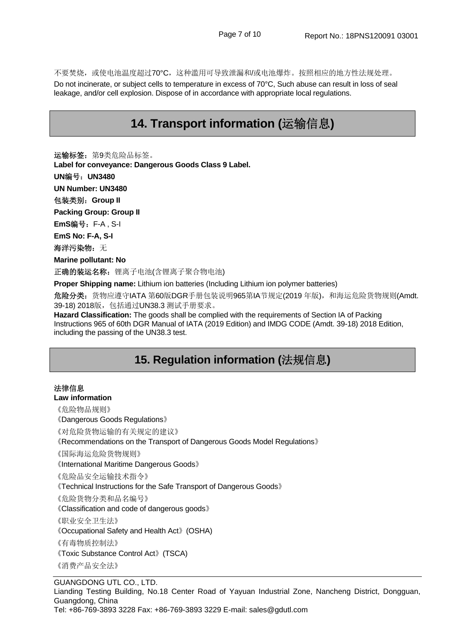不要焚烧,或使电池温度超过70°C,这种滥用可导致泄漏和/或电池爆炸。按照相应的地方性法规处理。 Do not incinerate, or subject cells to temperature in excess of 70°C, Such abuse can result in loss of seal leakage, and/or cell explosion. Dispose of in accordance with appropriate local regulations.

### **14. Transport information (**运输信息**)**

运输标签: 第9类危险品标签。

**Label for conveyance: Dangerous Goods Class 9 Label.**

**UN**编号:**UN3480** 

**UN Number: UN3480** 

包装类别:**Group II** 

**Packing Group: Group II** 

**EmS**编号:F-A , S-I

**EmS No: F-A, S-I** 

海洋污染物: 无

**Marine pollutant: No** 

正确的装运名称: 锂离子电池(含锂离子聚合物电池)

**Proper Shipping name:** Lithium ion batteries (Including Lithium ion polymer batteries)

危险分类: 货物应遵守IATA 第60版DGR手册包装说明965第IA节规定(2019 年版), 和海运危险货物规则(Amdt. 39-18) 2018版,包括通过UN38.3 测试手册要求。

**Hazard Classification:** The goods shall be complied with the requirements of Section IA of Packing Instructions 965 of 60th DGR Manual of IATA (2019 Edition) and IMDG CODE (Amdt. 39-18) 2018 Edition, including the passing of the UN38.3 test.

## **15. Regulation information (**法规信息**)**

#### 法律信息

**Law information** 

《危险物品规则》

《Dangerous Goods Regulations》

《对危险货物运输的有关规定的建议》

《Recommendations on the Transport of Dangerous Goods Model Regulations》

《国际海运危险货物规则》

《International Maritime Dangerous Goods》

《危险品安全运输技术指令》

《Technical Instructions for the Safe Transport of Dangerous Goods》

《危险货物分类和品名编号》

《Classification and code of dangerous goods》

《职业安全卫生法》

《Occupational Safety and Health Act》(OSHA)

《有毒物质控制法》

《Toxic Substance Control Act》(TSCA)

《消费产品安全法》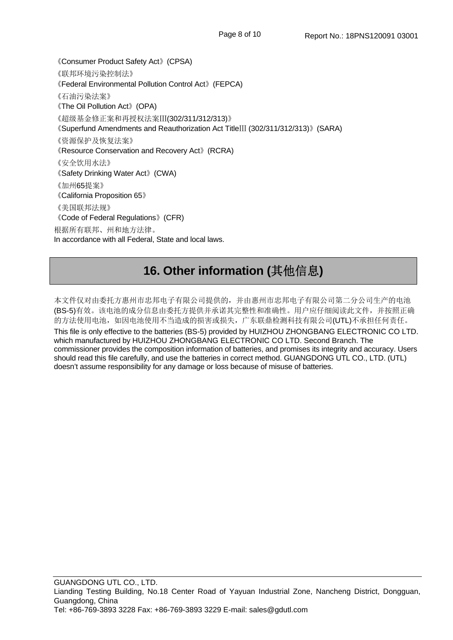《Consumer Product Safety Act》(CPSA) 《联邦环境污染控制法》 《Federal Environmental Pollution Control Act》(FEPCA) 《石油污染法案》 《The Oil Pollution Act》(OPA) 《超级基金修正案和再授权法案Ⅲ(302/311/312/313)》 《Superfund Amendments and Reauthorization Act TitleⅢ (302/311/312/313)》(SARA) 《资源保护及恢复法案》 《Resource Conservation and Recovery Act》(RCRA) 《安全饮用水法》 《Safety Drinking Water Act》(CWA) 《加州65提案》 《California Proposition 65》 《美国联邦法规》 《Code of Federal Regulations》(CFR) 根据所有联邦、州和地方法律。 In accordance with all Federal, State and local laws.

# **16. Other information (**其他信息**)**

本文件仅对由委托方惠州市忠邦电子有限公司提供的,并由惠州市忠邦电子有限公司第二分公司生产的电池 (BS-5)有效。该电池的成分信息由委托方提供并承诺其完整性和准确性。用户应仔细阅读此文件,并按照正确 的方法使用电池,如因电池使用不当造成的损害或损失,广东联鼎检测科技有限公司(UTL)不承担任何责任。 This file is only effective to the batteries (BS-5) provided by HUIZHOU ZHONGBANG ELECTRONIC CO LTD. which manufactured by HUIZHOU ZHONGBANG ELECTRONIC CO LTD. Second Branch. The commissioner provides the composition information of batteries, and promises its integrity and accuracy. Users should read this file carefully, and use the batteries in correct method. GUANGDONG UTL CO., LTD. (UTL) doesn't assume responsibility for any damage or loss because of misuse of batteries.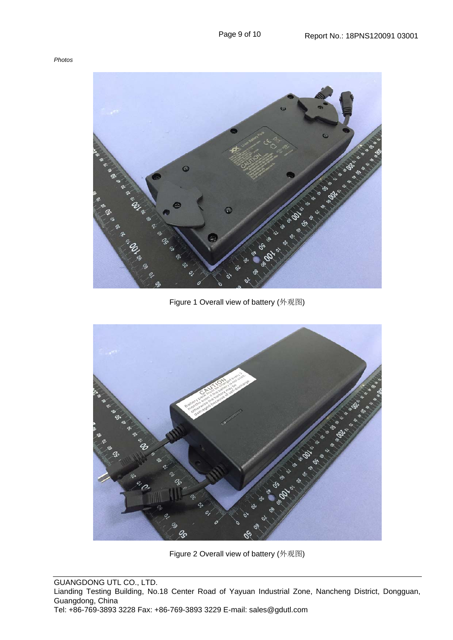#### *Photos*





Figure 2 Overall view of battery (外观图)